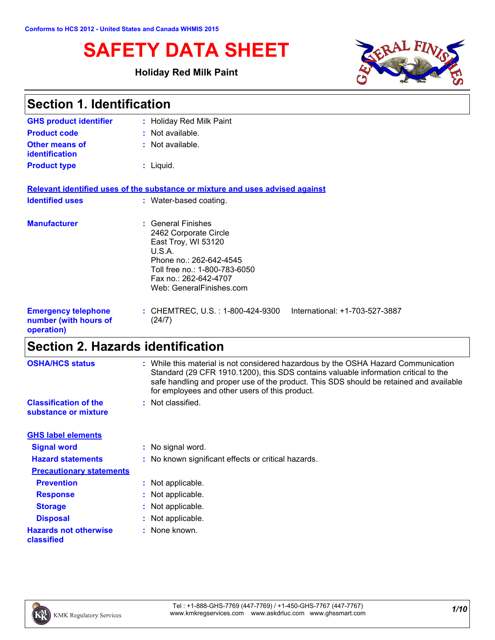# **SAFETY DATA SHEET**

### **Holiday Red Milk Paint**



| <b>Section 1. Identification</b>                                  |                                                                                                                                                                                               |  |
|-------------------------------------------------------------------|-----------------------------------------------------------------------------------------------------------------------------------------------------------------------------------------------|--|
| <b>GHS product identifier</b>                                     | : Holiday Red Milk Paint                                                                                                                                                                      |  |
| <b>Product code</b>                                               | : Not available.                                                                                                                                                                              |  |
| Other means of<br>identification                                  | : Not available.                                                                                                                                                                              |  |
| <b>Product type</b>                                               | $:$ Liquid.                                                                                                                                                                                   |  |
|                                                                   | Relevant identified uses of the substance or mixture and uses advised against                                                                                                                 |  |
| <b>Identified uses</b>                                            | : Water-based coating.                                                                                                                                                                        |  |
| <b>Manufacturer</b>                                               | : General Finishes<br>2462 Corporate Circle<br>East Troy, WI 53120<br>U.S.A.<br>Phone no.: 262-642-4545<br>Toll free no.: 1-800-783-6050<br>Fax no.: 262-642-4707<br>Web: GeneralFinishes.com |  |
| <b>Emergency telephone</b><br>number (with hours of<br>operation) | : CHEMTREC, U.S. : 1-800-424-9300<br>International: +1-703-527-3887<br>(24/7)                                                                                                                 |  |

# **Section 2. Hazards identification**

| <b>OSHA/HCS status</b>                               | : While this material is not considered hazardous by the OSHA Hazard Communication<br>Standard (29 CFR 1910.1200), this SDS contains valuable information critical to the<br>safe handling and proper use of the product. This SDS should be retained and available<br>for employees and other users of this product. |
|------------------------------------------------------|-----------------------------------------------------------------------------------------------------------------------------------------------------------------------------------------------------------------------------------------------------------------------------------------------------------------------|
| <b>Classification of the</b><br>substance or mixture | : Not classified.                                                                                                                                                                                                                                                                                                     |
| <b>GHS label elements</b>                            |                                                                                                                                                                                                                                                                                                                       |
| <b>Signal word</b>                                   | : No signal word.                                                                                                                                                                                                                                                                                                     |
| <b>Hazard statements</b>                             | : No known significant effects or critical hazards.                                                                                                                                                                                                                                                                   |
| <b>Precautionary statements</b>                      |                                                                                                                                                                                                                                                                                                                       |
| <b>Prevention</b>                                    | : Not applicable.                                                                                                                                                                                                                                                                                                     |
| <b>Response</b>                                      | : Not applicable.                                                                                                                                                                                                                                                                                                     |
| <b>Storage</b>                                       | : Not applicable.                                                                                                                                                                                                                                                                                                     |
| <b>Disposal</b>                                      | : Not applicable.                                                                                                                                                                                                                                                                                                     |
| <b>Hazards not otherwise</b><br>classified           | : None known.                                                                                                                                                                                                                                                                                                         |

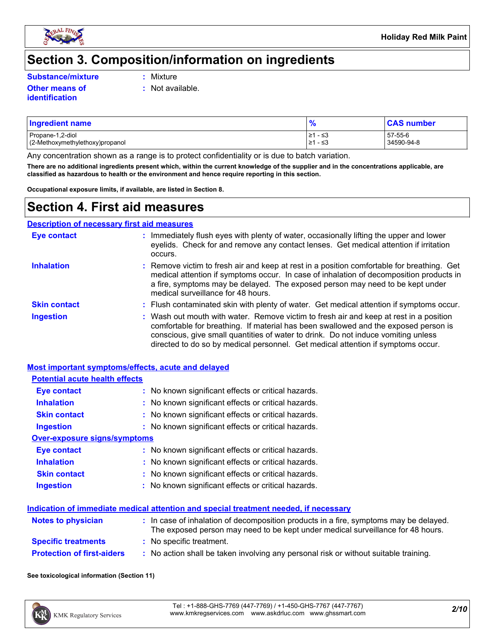

# **Section 3. Composition/information on ingredients**

**Substance/mixture :**

: Mixture

**:** Not available.

- **Other means of identification**
- Propane-1,2-diol ≥1 ≤3 57-55-6 (2-Methoxymethylethoxy)propanol **Ingredient name % CAS number**

Any concentration shown as a range is to protect confidentiality or is due to batch variation.

**There are no additional ingredients present which, within the current knowledge of the supplier and in the concentrations applicable, are classified as hazardous to health or the environment and hence require reporting in this section.**

**Occupational exposure limits, if available, are listed in Section 8.**

### **Section 4. First aid measures**

|                     | <b>Description of necessary first aid measures</b>                                                                                                                                                                                                                                                                                                     |
|---------------------|--------------------------------------------------------------------------------------------------------------------------------------------------------------------------------------------------------------------------------------------------------------------------------------------------------------------------------------------------------|
| <b>Eye contact</b>  | Immediately flush eyes with plenty of water, occasionally lifting the upper and lower<br>eyelids. Check for and remove any contact lenses. Get medical attention if irritation<br>occurs.                                                                                                                                                              |
| <b>Inhalation</b>   | : Remove victim to fresh air and keep at rest in a position comfortable for breathing. Get<br>medical attention if symptoms occur. In case of inhalation of decomposition products in<br>a fire, symptoms may be delayed. The exposed person may need to be kept under<br>medical surveillance for 48 hours.                                           |
| <b>Skin contact</b> | : Flush contaminated skin with plenty of water. Get medical attention if symptoms occur.                                                                                                                                                                                                                                                               |
| <b>Ingestion</b>    | : Wash out mouth with water. Remove victim to fresh air and keep at rest in a position<br>comfortable for breathing. If material has been swallowed and the exposed person is<br>conscious, give small quantities of water to drink. Do not induce vomiting unless<br>directed to do so by medical personnel. Get medical attention if symptoms occur. |

| Most important symptoms/effects, acute and delayed |                                                                                                                                                                          |
|----------------------------------------------------|--------------------------------------------------------------------------------------------------------------------------------------------------------------------------|
| <b>Potential acute health effects</b>              |                                                                                                                                                                          |
| <b>Eye contact</b>                                 | : No known significant effects or critical hazards.                                                                                                                      |
| <b>Inhalation</b>                                  | : No known significant effects or critical hazards.                                                                                                                      |
| <b>Skin contact</b>                                | : No known significant effects or critical hazards.                                                                                                                      |
| <b>Ingestion</b>                                   | : No known significant effects or critical hazards.                                                                                                                      |
| <b>Over-exposure signs/symptoms</b>                |                                                                                                                                                                          |
| Eye contact                                        | : No known significant effects or critical hazards.                                                                                                                      |
| <b>Inhalation</b>                                  | : No known significant effects or critical hazards.                                                                                                                      |
| <b>Skin contact</b>                                | : No known significant effects or critical hazards.                                                                                                                      |
| <b>Ingestion</b>                                   | : No known significant effects or critical hazards.                                                                                                                      |
|                                                    | Indication of immediate medical attention and special treatment needed, if necessary                                                                                     |
| <b>Notes to physician</b>                          | : In case of inhalation of decomposition products in a fire, symptoms may be delayed.<br>The exposed person may need to be kept under medical surveillance for 48 hours. |
| <b>Specific treatments</b>                         | : No specific treatment.                                                                                                                                                 |
| <b>Protection of first-aiders</b>                  | : No action shall be taken involving any personal risk or without suitable training.                                                                                     |

**See toxicological information (Section 11)**

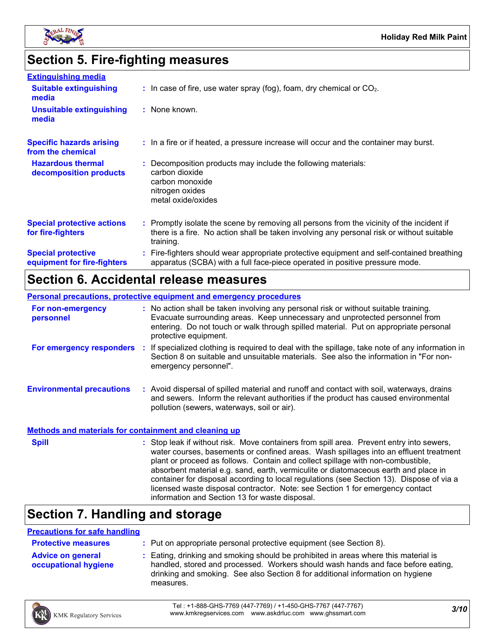

### **Section 5. Fire-fighting measures**

| <b>Extinguishing media</b>                               |                                                                                                                                                                                                     |
|----------------------------------------------------------|-----------------------------------------------------------------------------------------------------------------------------------------------------------------------------------------------------|
| <b>Suitable extinguishing</b><br>media                   | $\therefore$ In case of fire, use water spray (fog), foam, dry chemical or CO <sub>2</sub> .                                                                                                        |
| <b>Unsuitable extinguishing</b><br>media                 | : None known.                                                                                                                                                                                       |
| <b>Specific hazards arising</b><br>from the chemical     | : In a fire or if heated, a pressure increase will occur and the container may burst.                                                                                                               |
| <b>Hazardous thermal</b><br>decomposition products       | : Decomposition products may include the following materials:<br>carbon dioxide<br>carbon monoxide<br>nitrogen oxides<br>metal oxide/oxides                                                         |
| <b>Special protective actions</b><br>for fire-fighters   | : Promptly isolate the scene by removing all persons from the vicinity of the incident if<br>there is a fire. No action shall be taken involving any personal risk or without suitable<br>training. |
| <b>Special protective</b><br>equipment for fire-fighters | : Fire-fighters should wear appropriate protective equipment and self-contained breathing<br>apparatus (SCBA) with a full face-piece operated in positive pressure mode.                            |

# **Section 6. Accidental release measures**

#### **Personal precautions, protective equipment and emergency procedures**

| For non-emergency<br>personnel   | : No action shall be taken involving any personal risk or without suitable training.<br>Evacuate surrounding areas. Keep unnecessary and unprotected personnel from<br>entering. Do not touch or walk through spilled material. Put on appropriate personal<br>protective equipment. |
|----------------------------------|--------------------------------------------------------------------------------------------------------------------------------------------------------------------------------------------------------------------------------------------------------------------------------------|
| For emergency responders         | If specialized clothing is required to deal with the spillage, take note of any information in<br>Section 8 on suitable and unsuitable materials. See also the information in "For non-<br>emergency personnel".                                                                     |
| <b>Environmental precautions</b> | Avoid dispersal of spilled material and runoff and contact with soil, waterways, drains<br>and sewers. Inform the relevant authorities if the product has caused environmental<br>pollution (sewers, waterways, soil or air).                                                        |

#### **Methods and materials for containment and cleaning up**

**Spill** Stop leak if without risk. Move containers from spill area. Prevent entry into sewers, water courses, basements or confined areas. Wash spillages into an effluent treatment plant or proceed as follows. Contain and collect spillage with non-combustible, absorbent material e.g. sand, earth, vermiculite or diatomaceous earth and place in container for disposal according to local regulations (see Section 13). Dispose of via a licensed waste disposal contractor. Note: see Section 1 for emergency contact information and Section 13 for waste disposal.

### **Section 7. Handling and storage**

#### **Precautions for safe handling**

| <b>Protective measures</b>                       | : Put on appropriate personal protective equipment (see Section 8).                                                                                                                                                                                                  |
|--------------------------------------------------|----------------------------------------------------------------------------------------------------------------------------------------------------------------------------------------------------------------------------------------------------------------------|
| <b>Advice on general</b><br>occupational hygiene | Eating, drinking and smoking should be prohibited in areas where this material is<br>handled, stored and processed. Workers should wash hands and face before eating,<br>drinking and smoking. See also Section 8 for additional information on hygiene<br>measures. |

*3/10* Tel : +1-888-GHS-7769 (447-7769) / +1-450-GHS-7767 (447-7767) www.kmkregservices.com www.askdrluc.com www.ghssmart.com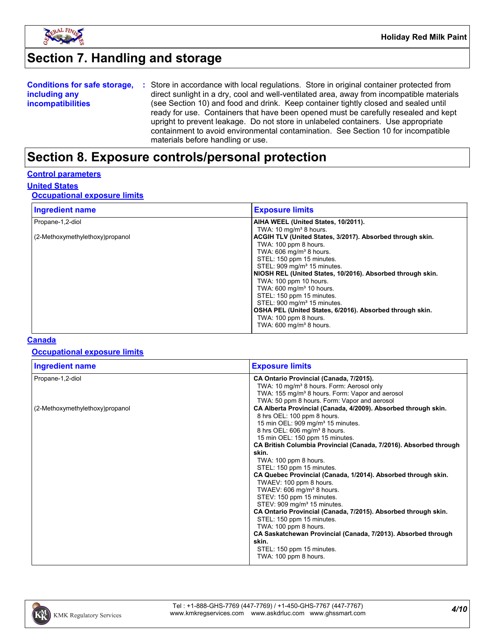

# **Section 7. Handling and storage**

| <b>Conditions for safe storage,</b> | : Store in accordance with local regulations. Store in original container protected from  |
|-------------------------------------|-------------------------------------------------------------------------------------------|
| including any                       | direct sunlight in a dry, cool and well-ventilated area, away from incompatible materials |
| <i>incompatibilities</i>            | (see Section 10) and food and drink. Keep container tightly closed and sealed until       |
|                                     | ready for use. Containers that have been opened must be carefully resealed and kept       |
|                                     | upright to prevent leakage. Do not store in unlabeled containers. Use appropriate         |
|                                     | containment to avoid environmental contamination. See Section 10 for incompatible         |
|                                     | materials before handling or use.                                                         |

### **Section 8. Exposure controls/personal protection**

#### **Control parameters**

### **United States**

### **Occupational exposure limits**

| <b>Ingredient name</b>          | <b>Exposure limits</b>                                     |
|---------------------------------|------------------------------------------------------------|
| Propane-1,2-diol                | AIHA WEEL (United States, 10/2011).                        |
|                                 | TWA: $10 \text{ mg/m}^3$ 8 hours.                          |
| (2-Methoxymethylethoxy)propanol | ACGIH TLV (United States, 3/2017). Absorbed through skin.  |
|                                 | TWA: 100 ppm 8 hours.                                      |
|                                 | TWA: $606 \text{ ma/m}^3$ 8 hours.                         |
|                                 | STEL: 150 ppm 15 minutes.                                  |
|                                 | STEL: 909 mg/m <sup>3</sup> 15 minutes.                    |
|                                 | NIOSH REL (United States, 10/2016). Absorbed through skin. |
|                                 | TWA: 100 ppm 10 hours.                                     |
|                                 | TWA: 600 mg/m <sup>3</sup> 10 hours.                       |
|                                 | STEL: 150 ppm 15 minutes.                                  |
|                                 | STEL: 900 mg/m <sup>3</sup> 15 minutes.                    |
|                                 | OSHA PEL (United States, 6/2016). Absorbed through skin.   |
|                                 | TWA: 100 ppm 8 hours.                                      |
|                                 | TWA: 600 mg/m <sup>3</sup> 8 hours.                        |

#### **Canada**

### **Occupational exposure limits**

| Ingredient name                 | <b>Exposure limits</b>                                            |
|---------------------------------|-------------------------------------------------------------------|
| Propane-1,2-diol                | CA Ontario Provincial (Canada, 7/2015).                           |
|                                 | TWA: 10 mg/m <sup>3</sup> 8 hours. Form: Aerosol only             |
|                                 | TWA: 155 mg/m <sup>3</sup> 8 hours. Form: Vapor and aerosol       |
|                                 | TWA: 50 ppm 8 hours. Form: Vapor and aerosol                      |
| (2-Methoxymethylethoxy)propanol | CA Alberta Provincial (Canada, 4/2009). Absorbed through skin.    |
|                                 | 8 hrs OEL: 100 ppm 8 hours.                                       |
|                                 | 15 min OEL: 909 mg/m <sup>3</sup> 15 minutes.                     |
|                                 | 8 hrs OEL: 606 mg/m <sup>3</sup> 8 hours.                         |
|                                 | 15 min OEL: 150 ppm 15 minutes.                                   |
|                                 | CA British Columbia Provincial (Canada, 7/2016). Absorbed through |
|                                 | skin.                                                             |
|                                 | TWA: 100 ppm 8 hours.                                             |
|                                 | STEL: 150 ppm 15 minutes.                                         |
|                                 | CA Quebec Provincial (Canada, 1/2014). Absorbed through skin.     |
|                                 | TWAEV: 100 ppm 8 hours.                                           |
|                                 | TWAEV: 606 mg/m <sup>3</sup> 8 hours.                             |
|                                 | STEV: 150 ppm 15 minutes.                                         |
|                                 | STEV: 909 mg/m <sup>3</sup> 15 minutes.                           |
|                                 | CA Ontario Provincial (Canada, 7/2015). Absorbed through skin.    |
|                                 | STEL: 150 ppm 15 minutes.                                         |
|                                 | TWA: 100 ppm 8 hours.                                             |
|                                 | CA Saskatchewan Provincial (Canada, 7/2013). Absorbed through     |
|                                 | skin.                                                             |
|                                 | STEL: 150 ppm 15 minutes.                                         |
|                                 | TWA: 100 ppm 8 hours.                                             |

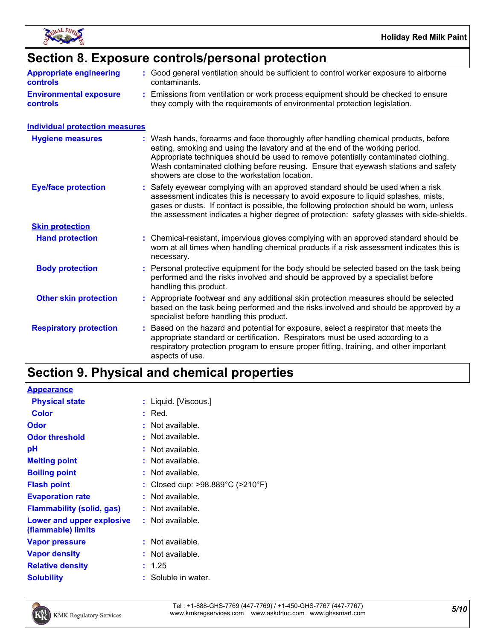

# **Section 8. Exposure controls/personal protection**

| <b>Appropriate engineering</b><br><b>controls</b> | : Good general ventilation should be sufficient to control worker exposure to airborne<br>contaminants.                                                          |
|---------------------------------------------------|------------------------------------------------------------------------------------------------------------------------------------------------------------------|
| <b>Environmental exposure</b><br><b>controls</b>  | : Emissions from ventilation or work process equipment should be checked to ensure<br>they comply with the requirements of environmental protection legislation. |

#### **Individual protection measures**

| <b>Hygiene measures</b>       | : Wash hands, forearms and face thoroughly after handling chemical products, before<br>eating, smoking and using the lavatory and at the end of the working period.<br>Appropriate techniques should be used to remove potentially contaminated clothing.<br>Wash contaminated clothing before reusing. Ensure that eyewash stations and safety<br>showers are close to the workstation location. |
|-------------------------------|---------------------------------------------------------------------------------------------------------------------------------------------------------------------------------------------------------------------------------------------------------------------------------------------------------------------------------------------------------------------------------------------------|
| <b>Eye/face protection</b>    | : Safety eyewear complying with an approved standard should be used when a risk<br>assessment indicates this is necessary to avoid exposure to liquid splashes, mists,<br>gases or dusts. If contact is possible, the following protection should be worn, unless<br>the assessment indicates a higher degree of protection: safety glasses with side-shields.                                    |
| <b>Skin protection</b>        |                                                                                                                                                                                                                                                                                                                                                                                                   |
| <b>Hand protection</b>        | : Chemical-resistant, impervious gloves complying with an approved standard should be<br>worn at all times when handling chemical products if a risk assessment indicates this is<br>necessary.                                                                                                                                                                                                   |
| <b>Body protection</b>        | : Personal protective equipment for the body should be selected based on the task being<br>performed and the risks involved and should be approved by a specialist before<br>handling this product.                                                                                                                                                                                               |
| <b>Other skin protection</b>  | : Appropriate footwear and any additional skin protection measures should be selected<br>based on the task being performed and the risks involved and should be approved by a<br>specialist before handling this product.                                                                                                                                                                         |
| <b>Respiratory protection</b> | Based on the hazard and potential for exposure, select a respirator that meets the<br>appropriate standard or certification. Respirators must be used according to a<br>respiratory protection program to ensure proper fitting, training, and other important<br>aspects of use.                                                                                                                 |

# **Section 9. Physical and chemical properties**

| <b>Appearance</b>                               |                                                       |
|-------------------------------------------------|-------------------------------------------------------|
| <b>Physical state</b>                           | : Liquid. [Viscous.]                                  |
| <b>Color</b>                                    | : Red.                                                |
| Odor                                            | $:$ Not available.                                    |
| <b>Odor threshold</b>                           | $\cdot$ Not available.                                |
| рH                                              | $:$ Not available.                                    |
| <b>Melting point</b>                            | $:$ Not available.                                    |
| <b>Boiling point</b>                            | $:$ Not available.                                    |
| <b>Flash point</b>                              | : Closed cup: $>98.889^{\circ}$ C ( $>210^{\circ}$ F) |
| <b>Evaporation rate</b>                         | $:$ Not available.                                    |
| <b>Flammability (solid, gas)</b>                | $:$ Not available.                                    |
| Lower and upper explosive<br>(flammable) limits | $:$ Not available.                                    |
| <b>Vapor pressure</b>                           | $:$ Not available.                                    |
| <b>Vapor density</b>                            | $:$ Not available.                                    |
| <b>Relative density</b>                         | : 1.25                                                |
| <b>Solubility</b>                               | : Soluble in water.                                   |



*5/10* Tel : +1-888-GHS-7769 (447-7769) / +1-450-GHS-7767 (447-7767) www.kmkregservices.com www.askdrluc.com www.ghssmart.com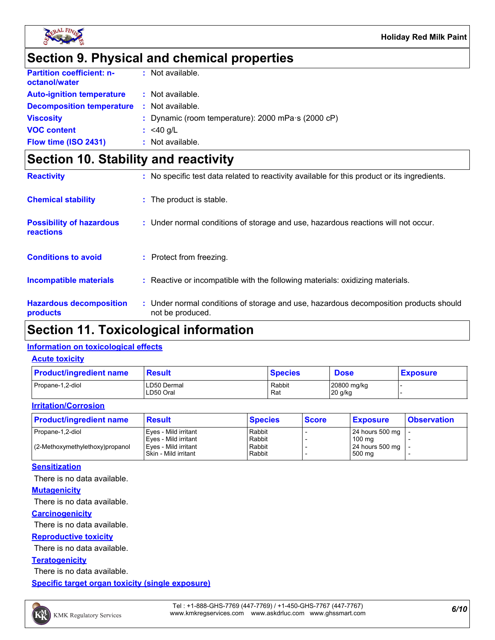

### **Section 9. Physical and chemical properties**

| <b>Partition coefficient: n-</b><br>octanol/water | : Not available.                                           |
|---------------------------------------------------|------------------------------------------------------------|
| <b>Auto-ignition temperature</b>                  | : Not available.                                           |
| <b>Decomposition temperature</b>                  | : Not available.                                           |
| <b>Viscosity</b>                                  | : Dynamic (room temperature): 2000 mPa $\cdot$ s (2000 cP) |
| <b>VOC content</b>                                | : $<$ 40 g/L                                               |
| Flow time (ISO 2431)                              | $:$ Not available.                                         |

### **Section 10. Stability and reactivity**

| <b>Reactivity</b>                                   | : No specific test data related to reactivity available for this product or its ingredients.              |
|-----------------------------------------------------|-----------------------------------------------------------------------------------------------------------|
| <b>Chemical stability</b>                           | : The product is stable.                                                                                  |
| <b>Possibility of hazardous</b><br><b>reactions</b> | : Under normal conditions of storage and use, hazardous reactions will not occur.                         |
| <b>Conditions to avoid</b>                          | : Protect from freezing.                                                                                  |
| <b>Incompatible materials</b>                       | : Reactive or incompatible with the following materials: oxidizing materials.                             |
| <b>Hazardous decomposition</b><br>products          | : Under normal conditions of storage and use, hazardous decomposition products should<br>not be produced. |

# **Section 11. Toxicological information**

### **Information on toxicological effects**

#### **Acute toxicity**

| <b>Product/ingredient name</b> | <b>Result</b>            | <b>Species</b> | <b>Dose</b>            | <b>Exposure</b> |
|--------------------------------|--------------------------|----------------|------------------------|-----------------|
| Propane-1,2-diol               | LD50 Dermal<br>LD50 Oral | Rabbit<br>Rat  | 20800 mg/kg<br>20 g/kg |                 |

#### **Irritation/Corrosion**

| <b>Product/ingredient name</b>    | <b>Result</b>          | <b>Species</b> | <b>Score</b> | <b>Exposure</b>     | <b>Observation</b> |
|-----------------------------------|------------------------|----------------|--------------|---------------------|--------------------|
| Propane-1,2-diol                  | Eyes - Mild irritant   | Rabbit         |              | 24 hours 500 mg   - |                    |
|                                   | l Eves - Mild irritant | Rabbit         |              | 100 ma              |                    |
| $(2-Methoxymethylethoxy)propanol$ | Eyes - Mild irritant   | Rabbit         |              | 24 hours 500 mg   - |                    |
|                                   | Skin - Mild irritant   | Rabbit         |              | 500 mg              |                    |

#### **Sensitization**

There is no data available.

#### **Mutagenicity**

There is no data available.

#### **Carcinogenicity**

There is no data available.

#### **Reproductive toxicity**

There is no data available.

#### **Teratogenicity**

There is no data available.

**Specific target organ toxicity (single exposure)**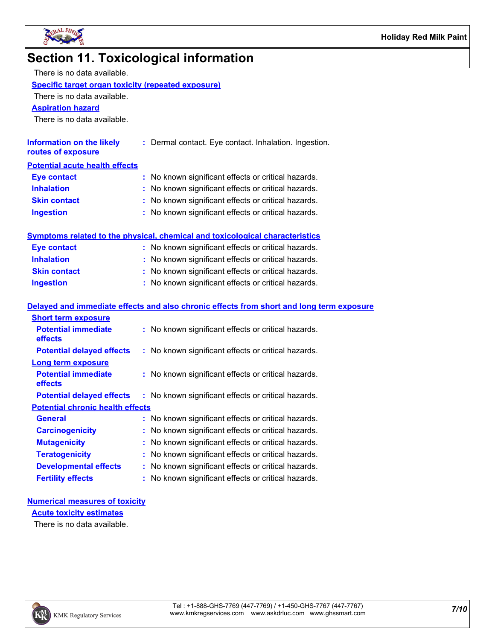

### **Section 11. Toxicological information**

| There is no data available. |
|-----------------------------|
|-----------------------------|

#### **Specific target organ toxicity (repeated exposure)**

There is no data available.

#### **Aspiration hazard**

There is no data available.

| Information on the likely<br>routes of exposure | : Dermal contact. Eye contact. Inhalation. Ingestion. |
|-------------------------------------------------|-------------------------------------------------------|
| <b>Potential acute health effects</b>           |                                                       |
| <b>Eve contact</b>                              | : No known significant effects or critical hazards.   |
| <b>Inhalation</b>                               | : No known significant effects or critical hazards.   |
| <b>Clin contact</b>                             | . No known significant offects or critical hazards    |

**Ingestion :** No known significant effects or critical hazards. **Skin contact <b>E E :** No known significant effects or critical hazards.

| Symptoms related to the physical, chemical and toxicological characteristics |  |
|------------------------------------------------------------------------------|--|
|                                                                              |  |

| Eye contact         | : No known significant effects or critical hazards. |
|---------------------|-----------------------------------------------------|
| <b>Inhalation</b>   | : No known significant effects or critical hazards. |
| <b>Skin contact</b> | : No known significant effects or critical hazards. |
| <b>Ingestion</b>    | : No known significant effects or critical hazards. |

#### **General :** No known significant effects or critical hazards. **Carcinogenicity :** No known significant effects or critical hazards. **Mutagenicity :** No known significant effects or critical hazards. **Potential chronic health effects Delayed and immediate effects and also chronic effects from short and long term exposure Potential immediate effects :** No known significant effects or critical hazards. **Short term exposure Potential delayed effects :** No known significant effects or critical hazards. **Potential immediate effects :** No known significant effects or critical hazards. **Long term exposure Potential delayed effects : No known significant effects or critical hazards.**

| <b>Teratogenicity</b>        | : No known significant effects or critical hazards. |
|------------------------------|-----------------------------------------------------|
| <b>Developmental effects</b> | : No known significant effects or critical hazards. |
| <b>Fertility effects</b>     | : No known significant effects or critical hazards. |

#### **Numerical measures of toxicity**

**Acute toxicity estimates**

There is no data available.

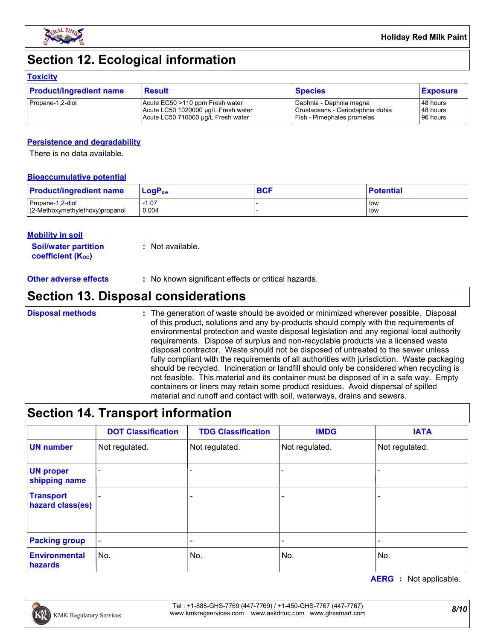

# **Section 12. Ecological information**

#### **Toxicity**

| <b>Product/ingredient name</b> | <b>Result</b>                       | <b>Species</b>                   | <b>Exposure</b> |
|--------------------------------|-------------------------------------|----------------------------------|-----------------|
| Propane-1,2-diol               | Acute EC50 >110 ppm Fresh water     | Daphnia - Daphnia magna          | 48 hours        |
|                                | Acute LC50 1020000 µg/L Fresh water | Crustaceans - Ceriodaphnia dubia | 48 hours        |
|                                | Acute LC50 710000 ug/L Fresh water  | Fish - Pimephales promelas       | 96 hours        |

#### **Persistence and degradability**

There is no data available.

#### **Bioaccumulative potential**

| <b>Product/ingredient name</b>   | $\mathsf{LogP}_\mathsf{ow}$ | <b>BCF</b> | <b>Potential</b> |
|----------------------------------|-----------------------------|------------|------------------|
| Propane-1.2-diol                 | $-1.07$                     |            | low              |
| (2-Methoxymethylethoxy) propanol | 0.004                       |            | low              |

#### **Mobility in soil**

**Soil/water partition coefficient (KOC) :** Not available.

**Other adverse effects** : No known significant effects or critical hazards.

### **Section 13. Disposal considerations**

**Disposal methods :**

The generation of waste should be avoided or minimized wherever possible. Disposal of this product, solutions and any by-products should comply with the requirements of environmental protection and waste disposal legislation and any regional local authority requirements. Dispose of surplus and non-recyclable products via a licensed waste disposal contractor. Waste should not be disposed of untreated to the sewer unless fully compliant with the requirements of all authorities with jurisdiction. Waste packaging should be recycled. Incineration or landfill should only be considered when recycling is not feasible. This material and its container must be disposed of in a safe way. Empty containers or liners may retain some product residues. Avoid dispersal of spilled material and runoff and contact with soil, waterways, drains and sewers.

### **Section 14. Transport information**

|                                      | <b>DOT Classification</b> | <b>TDG Classification</b> | <b>IMDG</b>    | <b>IATA</b>    |
|--------------------------------------|---------------------------|---------------------------|----------------|----------------|
| <b>UN number</b>                     | Not regulated.            | Not regulated.            | Not regulated. | Not regulated. |
| <b>UN proper</b><br>shipping name    |                           | $\overline{\phantom{0}}$  |                |                |
| <b>Transport</b><br>hazard class(es) |                           |                           |                |                |
| <b>Packing group</b>                 |                           |                           |                |                |
| Environmental<br>hazards             | No.                       | No.                       | No.            | No.            |

**AERG :** Not applicable.

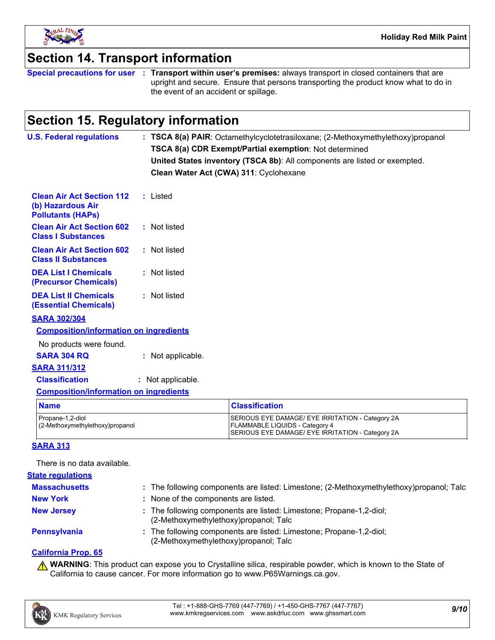

### **Section 14. Transport information**

**Special precautions for user Transport within user's premises:** always transport in closed containers that are **:** upright and secure. Ensure that persons transporting the product know what to do in the event of an accident or spillage.

### **Section 15. Regulatory information**

| <b>U.S. Federal regulations</b>                                                   | : TSCA 8(a) PAIR: Octamethylcyclotetrasiloxane; (2-Methoxymethylethoxy)propanol<br>TSCA 8(a) CDR Exempt/Partial exemption: Not determined<br>United States inventory (TSCA 8b): All components are listed or exempted.<br>Clean Water Act (CWA) 311: Cyclohexane |
|-----------------------------------------------------------------------------------|------------------------------------------------------------------------------------------------------------------------------------------------------------------------------------------------------------------------------------------------------------------|
| <b>Clean Air Act Section 112</b><br>(b) Hazardous Air<br><b>Pollutants (HAPs)</b> | : Listed                                                                                                                                                                                                                                                         |
| <b>Clean Air Act Section 602</b><br><b>Class I Substances</b>                     | : Not listed                                                                                                                                                                                                                                                     |
| <b>Clean Air Act Section 602</b><br><b>Class II Substances</b>                    | : Not listed                                                                                                                                                                                                                                                     |
| <b>DEA List I Chemicals</b><br>(Precursor Chemicals)                              | : Not listed                                                                                                                                                                                                                                                     |
| <b>DEA List II Chemicals</b><br><b>(Essential Chemicals)</b>                      | : Not listed                                                                                                                                                                                                                                                     |
| <b>SARA 302/304</b>                                                               |                                                                                                                                                                                                                                                                  |
| <b>Composition/information on ingredients</b>                                     |                                                                                                                                                                                                                                                                  |
| No products were found.<br><b>SARA 304 RQ</b>                                     | : Not applicable.                                                                                                                                                                                                                                                |
| <b>SARA 311/312</b>                                                               |                                                                                                                                                                                                                                                                  |
| <b>Classification</b>                                                             | : Not applicable.                                                                                                                                                                                                                                                |
| <b>Composition/information on ingredients</b>                                     |                                                                                                                                                                                                                                                                  |
| <b>Name</b>                                                                       | <b>Classification</b>                                                                                                                                                                                                                                            |
| Propane-1.2-diol                                                                  | SERIOUS EYE DAMAGE/ EYE IRRITATION - Category 2A                                                                                                                                                                                                                 |

| <b>SARA 313</b> |  |  |
|-----------------|--|--|

There is no data available.

| <b>State regulations</b> |                                                                                                              |
|--------------------------|--------------------------------------------------------------------------------------------------------------|
| <b>Massachusetts</b>     | : The following components are listed: Limestone; (2-Methoxymethylethoxy)propanol; Talc                      |
| <b>New York</b>          | : None of the components are listed.                                                                         |
| <b>New Jersey</b>        | : The following components are listed: Limestone; Propane-1,2-diol;<br>(2-Methoxymethylethoxy)propanol; Talc |
| <b>Pennsylvania</b>      | : The following components are listed: Limestone; Propane-1,2-diol;<br>(2-Methoxymethylethoxy)propanol; Talc |

(2-Methoxymethylethoxy)propanol example and the set of FLAMMABLE LIQUIDS - Category 4

#### **California Prop. 65**

**A WARNING**: This product can expose you to Crystalline silica, respirable powder, which is known to the State of California to cause cancer. For more information go to www.P65Warnings.ca.gov.

SERIOUS EYE DAMAGE/ EYE IRRITATION - Category 2A